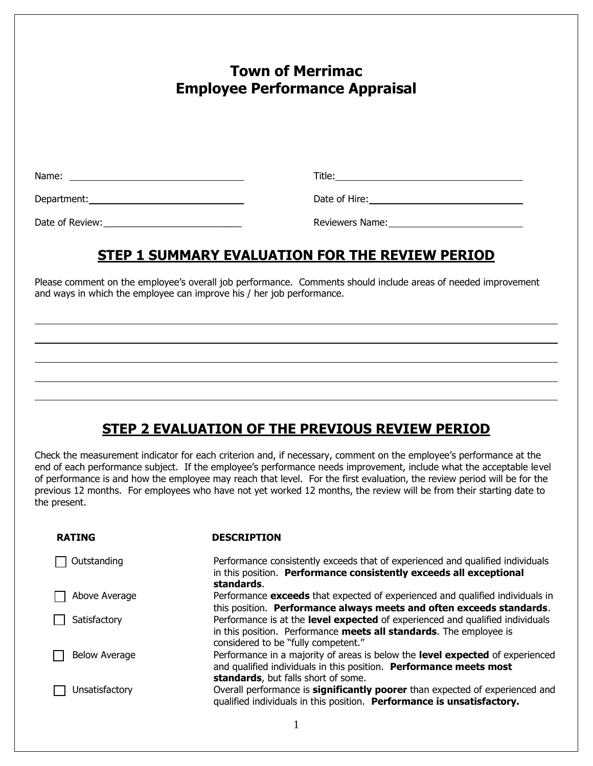| <b>Town of Merrimac</b><br><b>Employee Performance Appraisal</b> |  |
|------------------------------------------------------------------|--|
|                                                                  |  |
|                                                                  |  |
|                                                                  |  |

### **STEP 1 SUMMARY EVALUATION FOR THE REVIEW PERIOD**

Please comment on the employee's overall job performance. Comments should include areas of needed improvement and ways in which the employee can improve his / her job performance.

# **STEP 2 EVALUATION OF THE PREVIOUS REVIEW PERIOD**

Check the measurement indicator for each criterion and, if necessary, comment on the employee's performance at the end of each performance subject. If the employee's performance needs improvement, include what the acceptable level of performance is and how the employee may reach that level. For the first evaluation, the review period will be for the previous 12 months. For employees who have not yet worked 12 months, the review will be from their starting date to the present.

| <b>RATING</b>        | <b>DESCRIPTION</b>                                                                                                                                                                         |
|----------------------|--------------------------------------------------------------------------------------------------------------------------------------------------------------------------------------------|
| Outstanding          | Performance consistently exceeds that of experienced and qualified individuals<br>in this position. Performance consistently exceeds all exceptional<br>standards.                         |
| Above Average        | Performance exceeds that expected of experienced and qualified individuals in<br>this position. Performance always meets and often exceeds standards.                                      |
| Satisfactory         | Performance is at the level expected of experienced and qualified individuals<br>in this position. Performance meets all standards. The employee is<br>considered to be "fully competent." |
| <b>Below Average</b> | Performance in a majority of areas is below the level expected of experienced<br>and qualified individuals in this position. Performance meets most<br>standards, but falls short of some. |
| Unsatisfactory       | Overall performance is significantly poorer than expected of experienced and<br>qualified individuals in this position. Performance is unsatisfactory.                                     |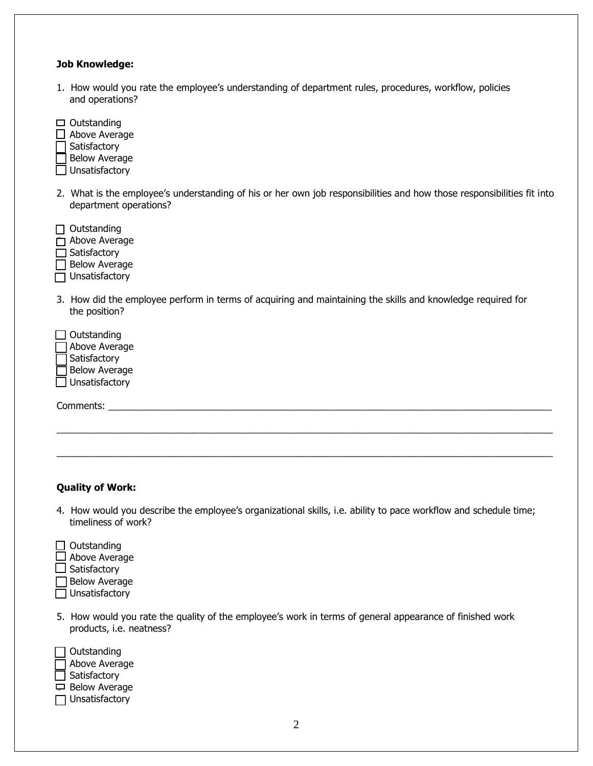#### **Job Knowledge:**

| 1. How would you rate the employee's understanding of department rules, procedures, workflow, policies |
|--------------------------------------------------------------------------------------------------------|
| and operations?                                                                                        |

| Outstanding<br>Above Average<br>Satisfactory<br><b>Below Average</b><br>Unsatisfactory                                                           |  |
|--------------------------------------------------------------------------------------------------------------------------------------------------|--|
| 2. What is the employee's understanding of his or her own job responsibilities and how those responsibilities fit into<br>department operations? |  |
| Outstanding<br>Above Average<br>Satisfactory<br><b>Below Average</b><br>Unsatisfactory                                                           |  |
| 3. How did the employee perform in terms of acquiring and maintaining the skills and knowledge required for<br>the position?                     |  |
| Outstanding<br>Above Average<br>Satisfactory<br><b>Below Average</b><br>Unsatisfactory                                                           |  |
| Comments:                                                                                                                                        |  |
|                                                                                                                                                  |  |

#### **Quality of Work:**

- 4. How would you describe the employee's organizational skills, i.e. ability to pace workflow and schedule time; timeliness of work?
- $\Box$  Outstanding Above Average  $\Box$  Satisfactory  $\Box$  Below Average  $\overline{\Box}$  Unsatisfactory
- 5. How would you rate the quality of the employee's work in terms of general appearance of finished work products, i.e. neatness?

|   | $\Box$ Outstanding    |
|---|-----------------------|
| L | Above Average         |
|   | $\Box$ Satisfactory   |
| □ | <b>Below Average</b>  |
|   | $\Box$ Unsatisfactory |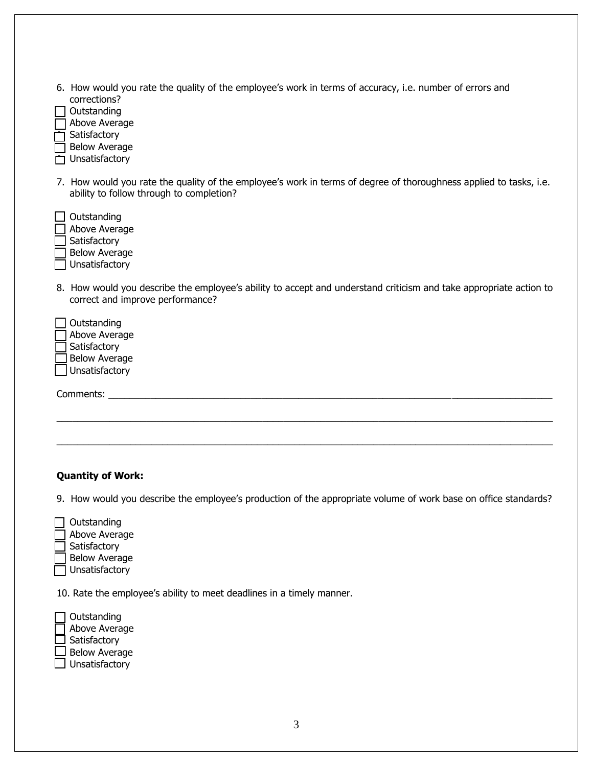| 6. How would you rate the quality of the employee's work in terms of accuracy, i.e. number of errors and<br>corrections?<br>Outstanding<br>Above Average<br>Satisfactory<br><b>Below Average</b><br>Unsatisfactory             |
|--------------------------------------------------------------------------------------------------------------------------------------------------------------------------------------------------------------------------------|
| 7. How would you rate the quality of the employee's work in terms of degree of thoroughness applied to tasks, i.e.<br>ability to follow through to completion?                                                                 |
| Outstanding<br>Above Average<br>Satisfactory<br><b>Below Average</b><br>Unsatisfactory                                                                                                                                         |
| 8. How would you describe the employee's ability to accept and understand criticism and take appropriate action to<br>correct and improve performance?                                                                         |
| Outstanding<br>Above Average<br>Satisfactory<br><b>Below Average</b><br>Unsatisfactory                                                                                                                                         |
| Comments: Executive Comments: Executive Comments: Executive Comments: Executive Comments: Executive Comments: Executive Comments: Executive Comments: Executive Comments: Executive Comments: Executive Comments: Executive Co |
|                                                                                                                                                                                                                                |
| <b>Quantity of Work:</b>                                                                                                                                                                                                       |

9. How would you describe the employee's production of the appropriate volume of work base on office standards?

| Outstanding          |
|----------------------|
| Above Average        |
| Satisfactory         |
| <b>Below Average</b> |
| Unsatisfactory       |

10. Rate the employee's ability to meet deadlines in a timely manner.

| Outstanding          |
|----------------------|
| Above Average        |
| Satisfactory         |
| <b>Below Average</b> |
| Unsatisfactory       |
|                      |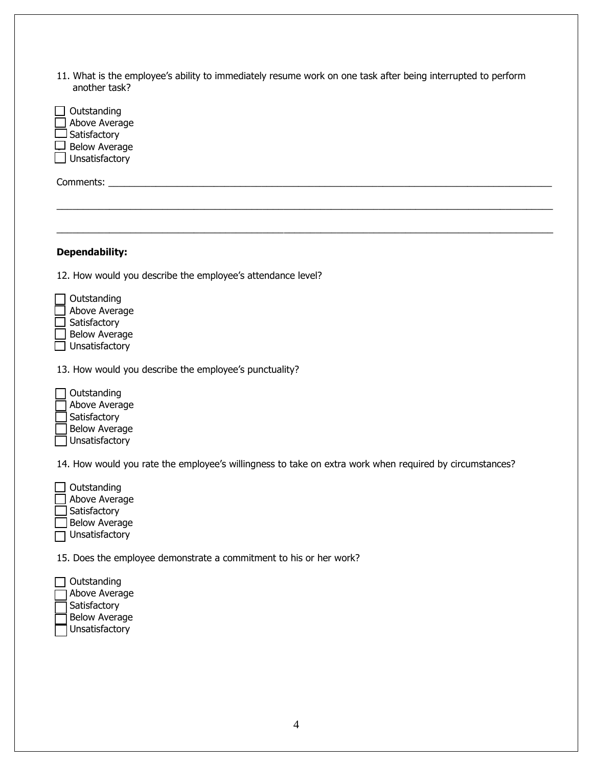| 11. What is the employee's ability to immediately resume work on one task after being interrupted to perform |  |  |  |
|--------------------------------------------------------------------------------------------------------------|--|--|--|
| another task?                                                                                                |  |  |  |

| Outstanding<br>Above Average<br>Satisfactory<br><b>Below Average</b><br>Unsatisfactory                  |
|---------------------------------------------------------------------------------------------------------|
|                                                                                                         |
|                                                                                                         |
|                                                                                                         |
| <b>Dependability:</b>                                                                                   |
| 12. How would you describe the employee's attendance level?                                             |
| Outstanding<br>Above Average<br>Satisfactory<br><b>Below Average</b><br>Unsatisfactory                  |
| 13. How would you describe the employee's punctuality?                                                  |
| Outstanding<br>Above Average<br>Satisfactory<br><b>Below Average</b><br>Unsatisfactory                  |
| 14. How would you rate the employee's willingness to take on extra work when required by circumstances? |
| Outstanding<br>Above Average<br>Satisfactory<br><b>Below Average</b><br>Unsatisfactory                  |
| 15. Does the employee demonstrate a commitment to his or her work?                                      |
| Outstanding<br>Above Average<br>Satisfactory<br><b>Below Average</b>                                    |

Unsatisfactory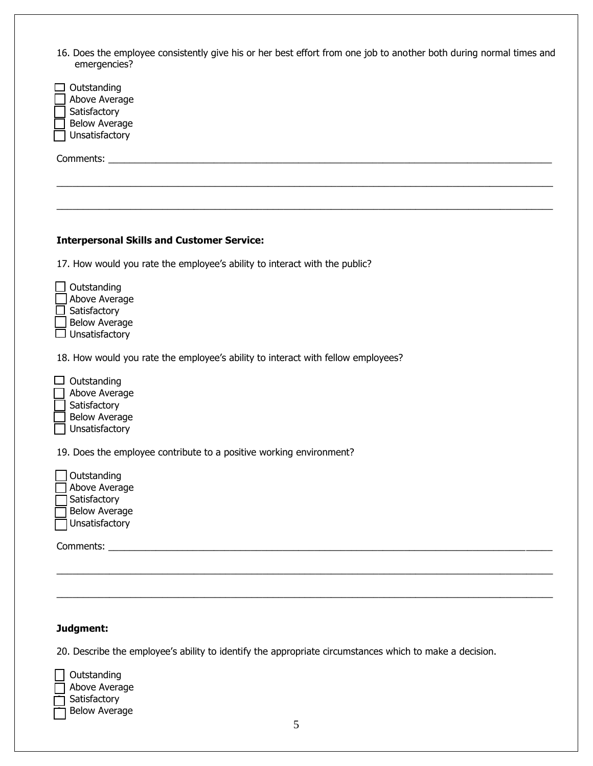| 16. Does the employee consistently give his or her best effort from one job to another both during normal times and |  |  |  |
|---------------------------------------------------------------------------------------------------------------------|--|--|--|
| emergencies?                                                                                                        |  |  |  |

| concrychaus:                                                                                            |
|---------------------------------------------------------------------------------------------------------|
| Outstanding<br>Above Average<br>Satisfactory<br><b>Below Average</b><br>Unsatisfactory                  |
|                                                                                                         |
|                                                                                                         |
|                                                                                                         |
|                                                                                                         |
|                                                                                                         |
| <b>Interpersonal Skills and Customer Service:</b>                                                       |
| 17. How would you rate the employee's ability to interact with the public?                              |
| Outstanding<br>Above Average<br>Satisfactory<br><b>Below Average</b><br>Unsatisfactory                  |
| 18. How would you rate the employee's ability to interact with fellow employees?                        |
| Outstanding<br>Above Average<br>Satisfactory<br><b>Below Average</b><br>Unsatisfactory                  |
| 19. Does the employee contribute to a positive working environment?                                     |
| Outstanding<br>Above Average<br>Satisfactory<br><b>Below Average</b><br>Unsatisfactory                  |
|                                                                                                         |
|                                                                                                         |
|                                                                                                         |
|                                                                                                         |
|                                                                                                         |
| Judgment:                                                                                               |
| 20. Describe the employee's ability to identify the appropriate circumstances which to make a decision. |

Outstanding  $\overline{\phantom{a}}$  Above Average **↑ Satisfactory**  $\overline{\mathcal{a}}$  Below Average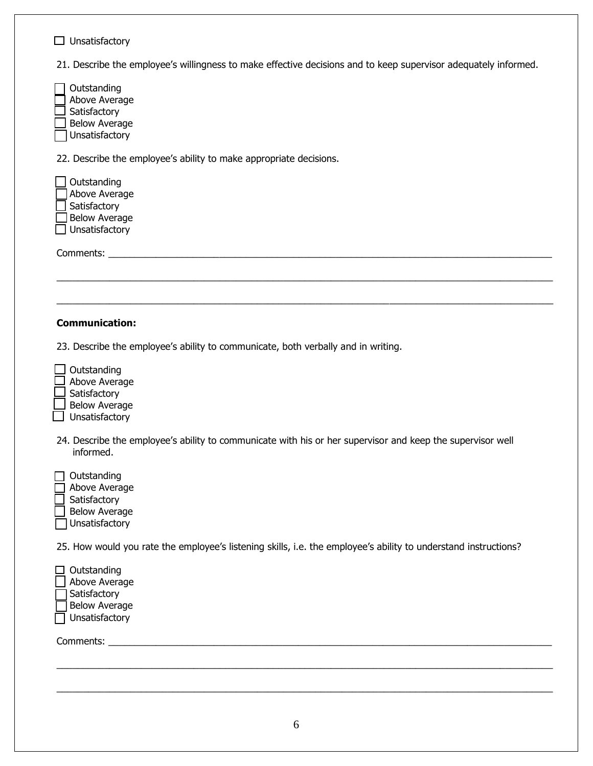| Unsatisfactory                                                                                                          |
|-------------------------------------------------------------------------------------------------------------------------|
| 21. Describe the employee's willingness to make effective decisions and to keep supervisor adequately informed.         |
| Outstanding<br>Above Average<br>Satisfactory<br><b>Below Average</b><br>Unsatisfactory                                  |
| 22. Describe the employee's ability to make appropriate decisions.                                                      |
| Outstanding<br>Above Average<br>Satisfactory<br><b>Below Average</b><br>Unsatisfactory                                  |
| Comments:                                                                                                               |
|                                                                                                                         |
|                                                                                                                         |
| <b>Communication:</b>                                                                                                   |
| 23. Describe the employee's ability to communicate, both verbally and in writing.                                       |
| Outstanding<br>Above Average<br>Satisfactory<br><b>Below Average</b><br>Unsatisfactory                                  |
| 24. Describe the employee's ability to communicate with his or her supervisor and keep the supervisor well<br>informed. |
| Outstanding<br>Above Average<br>Satisfactory<br><b>Below Average</b><br>Unsatisfactory                                  |
| 25. How would you rate the employee's listening skills, i.e. the employee's ability to understand instructions?         |
| Outstanding<br>Above Average<br>Satisfactory<br><b>Below Average</b><br>Unsatisfactory                                  |
|                                                                                                                         |
|                                                                                                                         |

\_\_\_\_\_\_\_\_\_\_\_\_\_\_\_\_\_\_\_\_\_\_\_\_\_\_\_\_\_\_\_\_\_\_\_\_\_\_\_\_\_\_\_\_\_\_\_\_\_\_\_\_\_\_\_\_\_\_\_\_\_\_\_\_\_\_\_\_\_\_\_\_\_\_\_\_\_\_\_\_\_\_\_\_\_\_\_\_\_\_\_\_\_\_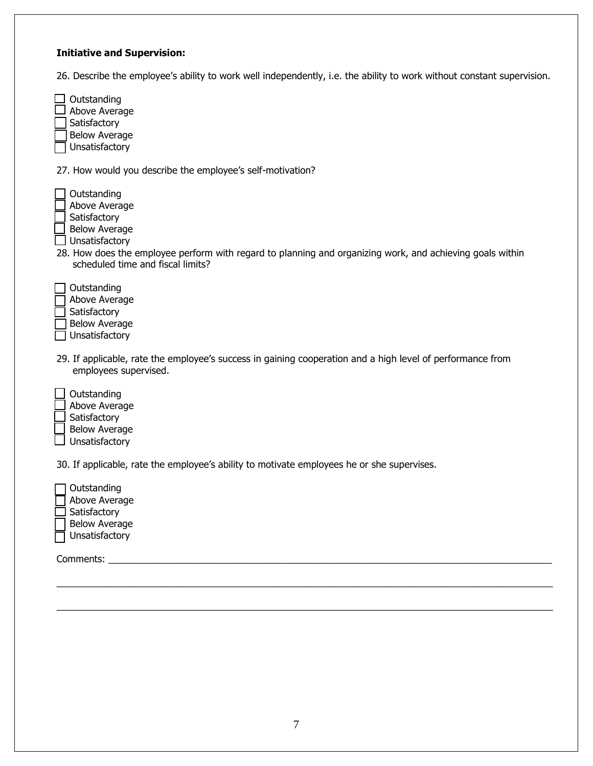#### **Initiative and Supervision:**

26. Describe the employee's ability to work well independently, i.e. the ability to work without constant supervision.

| Outstanding<br>Above Average |
|------------------------------|
| Satisfactory                 |
| <b>Below Average</b>         |
| Unsatisfactory               |

27. How would you describe the employee's self-motivation?

| Outstanding          |
|----------------------|
| Above Average        |
| Satisfactory         |
| <b>Below Average</b> |
| Unsatisfactory       |
| 28. How does the     |

.<br>he employee perform with regard to planning and organizing work, and achieving goals within scheduled time and fiscal limits?

| Outstanding          |
|----------------------|
| Above Average        |
| Satisfactory         |
| <b>Below Average</b> |
| Unsatisfactory       |

- 29. If applicable, rate the employee's success in gaining cooperation and a high level of performance from employees supervised.
- **Outstanding**  Above Average **Satisfactory**  Below Average Unsatisfactory

30. If applicable, rate the employee's ability to motivate employees he or she supervises.

| Outstanding          |
|----------------------|
| Above Average        |
| Satisfactory         |
| <b>Below Average</b> |
| Unsatisfactory       |

Comments:

 $\_$  ,  $\_$  ,  $\_$  ,  $\_$  ,  $\_$  ,  $\_$  ,  $\_$  ,  $\_$  ,  $\_$  ,  $\_$  ,  $\_$  ,  $\_$  ,  $\_$  ,  $\_$  ,  $\_$  ,  $\_$  ,  $\_$  ,  $\_$  ,  $\_$  ,  $\_$  ,  $\_$  ,  $\_$  ,  $\_$  ,  $\_$  ,  $\_$  ,  $\_$  ,  $\_$  ,  $\_$  ,  $\_$  ,  $\_$  ,  $\_$  ,  $\_$  ,  $\_$  ,  $\_$  ,  $\_$  ,  $\_$  ,  $\_$  ,

\_\_\_\_\_\_\_\_\_\_\_\_\_\_\_\_\_\_\_\_\_\_\_\_\_\_\_\_\_\_\_\_\_\_\_\_\_\_\_\_\_\_\_\_\_\_\_\_\_\_\_\_\_\_\_\_\_\_\_\_\_\_\_\_\_\_\_\_\_\_\_\_\_\_\_\_\_\_\_\_\_\_\_\_\_\_\_\_\_\_\_\_\_\_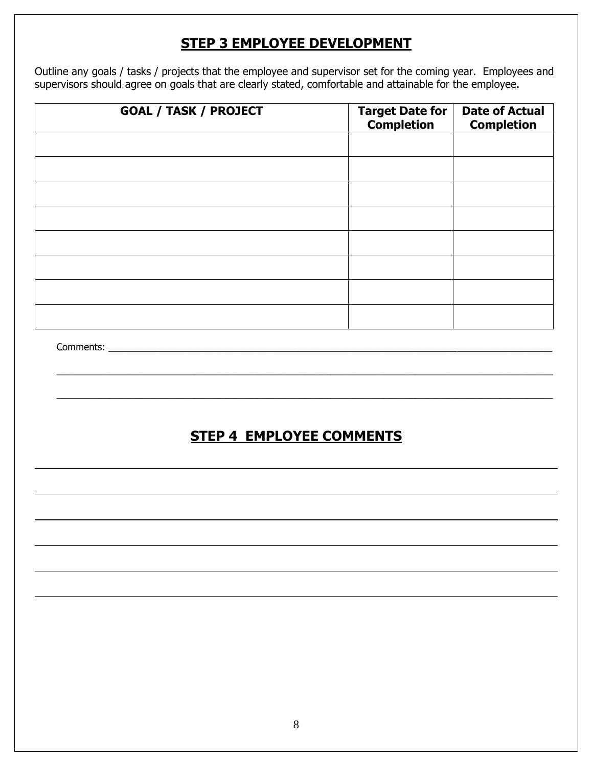## **STEP 3 EMPLOYEE DEVELOPMENT**

Outline any goals / tasks / projects that the employee and supervisor set for the coming year. Employees and supervisors should agree on goals that are clearly stated, comfortable and attainable for the employee.

| <b>GOAL / TASK / PROJECT</b>    | Target Date for<br><b>Completion</b> | <b>Date of Actual</b><br><b>Completion</b> |
|---------------------------------|--------------------------------------|--------------------------------------------|
|                                 |                                      |                                            |
|                                 |                                      |                                            |
|                                 |                                      |                                            |
|                                 |                                      |                                            |
|                                 |                                      |                                            |
|                                 |                                      |                                            |
|                                 |                                      |                                            |
|                                 |                                      |                                            |
|                                 |                                      |                                            |
|                                 |                                      |                                            |
|                                 |                                      |                                            |
| <b>STEP 4 EMPLOYEE COMMENTS</b> |                                      |                                            |
|                                 |                                      |                                            |
|                                 |                                      |                                            |
|                                 |                                      |                                            |
|                                 |                                      |                                            |
|                                 |                                      |                                            |
|                                 |                                      |                                            |
|                                 |                                      |                                            |
|                                 |                                      |                                            |
|                                 |                                      |                                            |
|                                 |                                      |                                            |
|                                 |                                      |                                            |